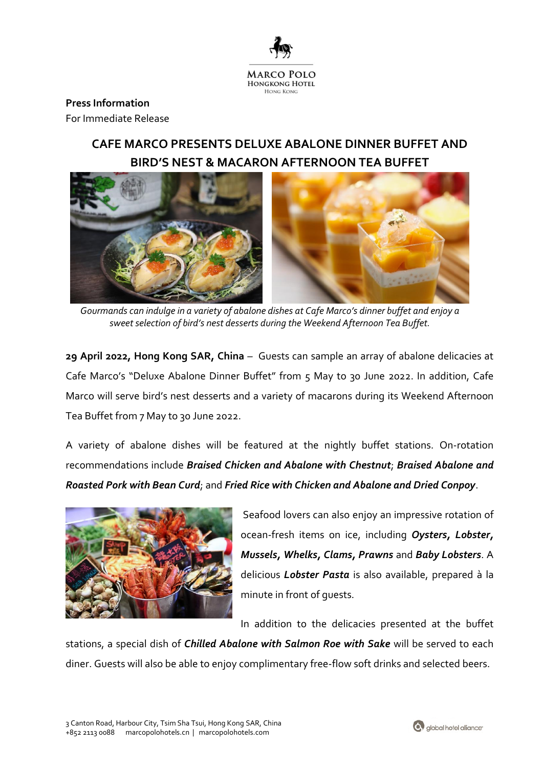

### **Press Information**

For Immediate Release

## **CAFE MARCO PRESENTS DELUXE ABALONE DINNER BUFFET AND BIRD'S NEST & MACARON AFTERNOON TEA BUFFET**



*Gourmands can indulge in a variety of abalone dishes at Cafe Marco's dinner buffet and enjoy a sweet selection of bird's nest desserts during the Weekend Afternoon Tea Buffet.* 

**29 April 2022, Hong Kong SAR, China** *–* Guests can sample an array of abalone delicacies at Cafe Marco's "Deluxe Abalone Dinner Buffet" from 5 May to 30 June 2022. In addition, Cafe Marco will serve bird's nest desserts and a variety of macarons during its Weekend Afternoon Tea Buffet from 7 May to 30 June 2022.

A variety of abalone dishes will be featured at the nightly buffet stations. On-rotation recommendations include *Braised Chicken and Abalone with Chestnut*; *Braised Abalone and Roasted Pork with Bean Curd*; and *Fried Rice with Chicken and Abalone and Dried Conpoy*.



Seafood lovers can also enjoy an impressive rotation of ocean-fresh items on ice, including *Oysters, Lobster, Mussels, Whelks, Clams, Prawns* and *Baby Lobsters*. A delicious *Lobster Pasta* is also available, prepared à la minute in front of guests.

In addition to the delicacies presented at the buffet

stations, a special dish of *Chilled Abalone with Salmon Roe with Sake* will be served to each diner. Guests will also be able to enjoy complimentary free-flow soft drinks and selected beers.

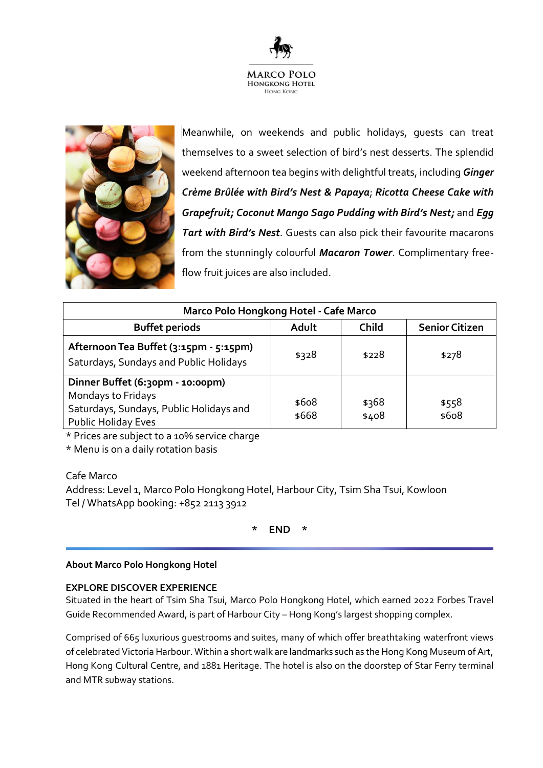



Meanwhile, on weekends and public holidays, guests can treat themselves to a sweet selection of bird's nest desserts. The splendid weekend afternoon tea begins with delightful treats, including *Ginger Crème Brûlée with Bird's Nest & Papaya*; *Ricotta Cheese Cake with Grapefruit; Coconut Mango Sago Pudding with Bird's Nest;* and *Egg Tart with Bird's Nest*. Guests can also pick their favourite macarons from the stunningly colourful *Macaron Tower*. Complimentary freeflow fruit juices are also included.

| Marco Polo Hongkong Hotel - Cafe Marco                                                                                          |                |                |                       |
|---------------------------------------------------------------------------------------------------------------------------------|----------------|----------------|-----------------------|
| <b>Buffet periods</b>                                                                                                           | Adult          | <b>Child</b>   | <b>Senior Citizen</b> |
| Afternoon Tea Buffet (3:15pm - 5:15pm)<br>Saturdays, Sundays and Public Holidays                                                | \$328          | \$228          | \$278                 |
| Dinner Buffet (6:30pm - 10:00pm)<br>Mondays to Fridays<br>Saturdays, Sundays, Public Holidays and<br><b>Public Holiday Eves</b> | \$608<br>\$668 | \$368<br>\$408 | \$558<br>\$608        |

\* Prices are subject to a 10% service charge

\* Menu is on a daily rotation basis

Cafe Marco

Address: Level 1, Marco Polo Hongkong Hotel, Harbour City, Tsim Sha Tsui, Kowloon Tel / WhatsApp booking: +852 2113 3912

**\* END \***

#### **About Marco Polo Hongkong Hotel**

#### **EXPLORE DISCOVER EXPERIENCE**

Situated in the heart of Tsim Sha Tsui, Marco Polo Hongkong Hotel, which earned 2022 Forbes Travel Guide Recommended Award, is part of Harbour City – Hong Kong's largest shopping complex.

Comprised of 665 luxurious guestrooms and suites, many of which offer breathtaking waterfront views of celebrated Victoria Harbour. Within a short walk are landmarks such as the Hong Kong Museum of Art, Hong Kong Cultural Centre, and 1881 Heritage. The hotel is also on the doorstep of Star Ferry terminal and MTR subway stations.